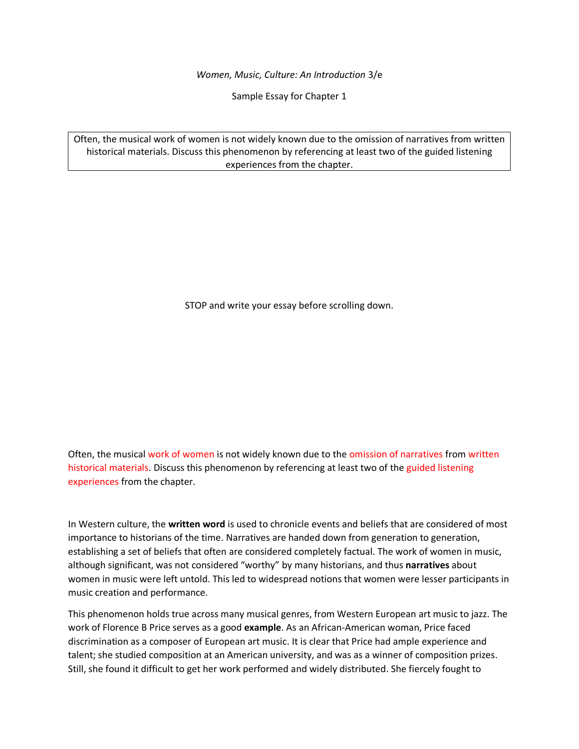*Women, Music, Culture: An Introduction* 3/e

Sample Essay for Chapter 1

Often, the musical work of women is not widely known due to the omission of narratives from written historical materials. Discuss this phenomenon by referencing at least two of the guided listening experiences from the chapter.

STOP and write your essay before scrolling down.

Often, the musical work of women is not widely known due to the omission of narratives from written historical materials. Discuss this phenomenon by referencing at least two of the guided listening experiences from the chapter.

In Western culture, the **written word** is used to chronicle events and beliefs that are considered of most importance to historians of the time. Narratives are handed down from generation to generation, establishing a set of beliefs that often are considered completely factual. The work of women in music, although significant, was not considered "worthy" by many historians, and thus **narratives** about women in music were left untold. This led to widespread notions that women were lesser participants in music creation and performance.

This phenomenon holds true across many musical genres, from Western European art music to jazz. The work of Florence B Price serves as a good **example**. As an African-American woman, Price faced discrimination as a composer of European art music. It is clear that Price had ample experience and talent; she studied composition at an American university, and was as a winner of composition prizes. Still, she found it difficult to get her work performed and widely distributed. She fiercely fought to